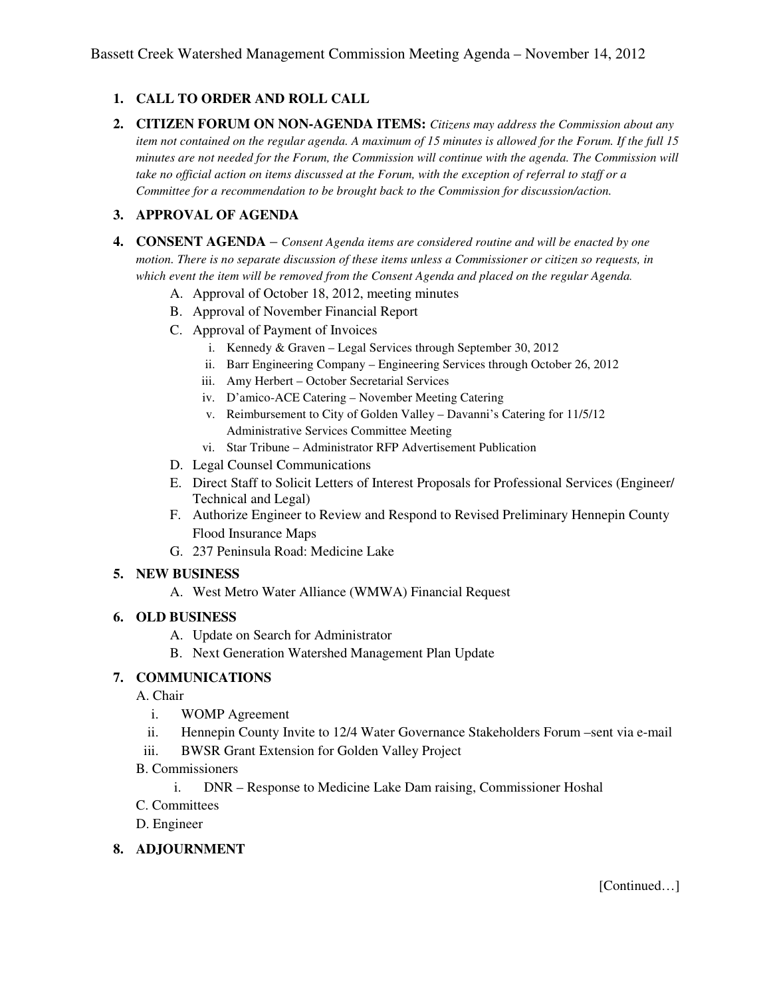# **1. CALL TO ORDER AND ROLL CALL**

**2. CITIZEN FORUM ON NON-AGENDA ITEMS:** *Citizens may address the Commission about any item not contained on the regular agenda. A maximum of 15 minutes is allowed for the Forum. If the full 15 minutes are not needed for the Forum, the Commission will continue with the agenda. The Commission will take no official action on items discussed at the Forum, with the exception of referral to staff or a Committee for a recommendation to be brought back to the Commission for discussion/action.* 

### **3. APPROVAL OF AGENDA**

- **4. CONSENT AGENDA** *Consent Agenda items are considered routine and will be enacted by one motion. There is no separate discussion of these items unless a Commissioner or citizen so requests, in which event the item will be removed from the Consent Agenda and placed on the regular Agenda.* 
	- A. Approval of October 18, 2012, meeting minutes
	- B. Approval of November Financial Report
	- C. Approval of Payment of Invoices
		- i. Kennedy & Graven Legal Services through September 30, 2012
		- ii. Barr Engineering Company Engineering Services through October 26, 2012
		- iii. Amy Herbert October Secretarial Services
		- iv. D'amico-ACE Catering November Meeting Catering
		- v. Reimbursement to City of Golden Valley Davanni's Catering for 11/5/12 Administrative Services Committee Meeting
		- vi. Star Tribune Administrator RFP Advertisement Publication
	- D. Legal Counsel Communications
	- E. Direct Staff to Solicit Letters of Interest Proposals for Professional Services (Engineer/ Technical and Legal)
	- F. Authorize Engineer to Review and Respond to Revised Preliminary Hennepin County Flood Insurance Maps
	- G. 237 Peninsula Road: Medicine Lake

#### **5. NEW BUSINESS**

A. West Metro Water Alliance (WMWA) Financial Request

#### **6. OLD BUSINESS**

- A. Update on Search for Administrator
- B. Next Generation Watershed Management Plan Update

#### **7. COMMUNICATIONS**

- A. Chair
	- i. WOMP Agreement
	- ii. Hennepin County Invite to 12/4 Water Governance Stakeholders Forum –sent via e-mail
- iii. BWSR Grant Extension for Golden Valley Project
- B. Commissioners
	- i. DNR Response to Medicine Lake Dam raising, Commissioner Hoshal
- C. Committees
- D. Engineer

#### **8. ADJOURNMENT**